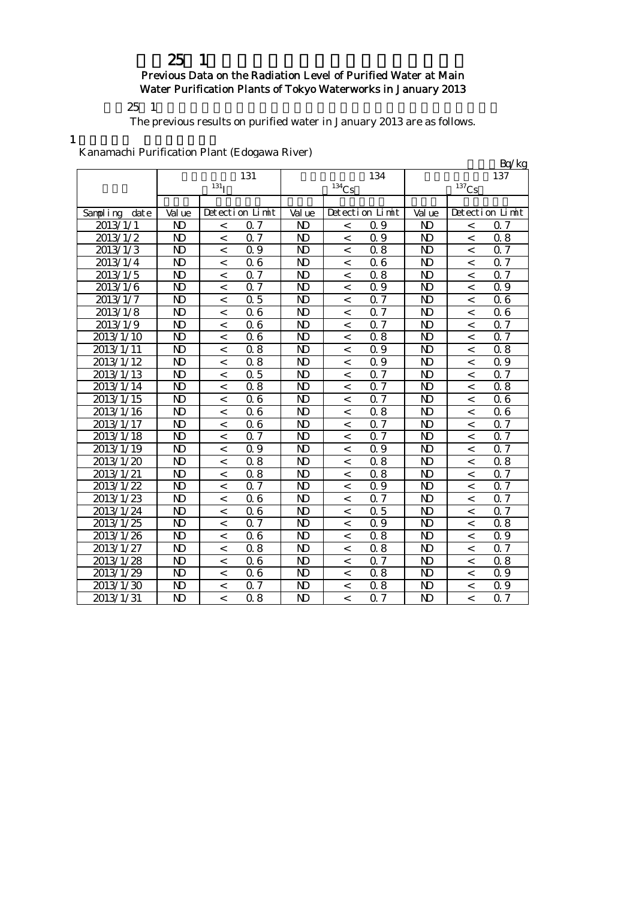# 25 1 Previous Data on the Radiation Level of Purified Water at Main Water Purification Plants of Tokyo Waterworks in January 2013

 $25 \t1$ 

The previous results on purified water in January 2013 are as follows.

1

Kanamachi Purification Plant (Edogawa River)

| rtanamachi i armitation i iant (Laog |                         |                          |                  |                         |                          |                  |                         |                          | Bq/kg            |
|--------------------------------------|-------------------------|--------------------------|------------------|-------------------------|--------------------------|------------------|-------------------------|--------------------------|------------------|
|                                      |                         |                          | 131              |                         |                          | 134              |                         |                          | 137              |
|                                      |                         | $^{131}\mathrm{I}$       |                  |                         | $134C_S$                 |                  |                         | $137$ Cs                 |                  |
|                                      |                         |                          |                  |                         |                          |                  |                         |                          |                  |
| Sampling date                        | Val ue                  |                          | Detection Limit  | Val ue                  |                          | Detection Limit  | Val ue                  |                          | Detection Limit  |
| 2013/1/1                             | N <sub>D</sub>          | $\,<\,$                  | 0.7              | $\mathbf{N}$            | $\,<\,$                  | 0.9              | $\mathbf{D}$            | $\,<\,$                  | 0.7              |
| 2013/1/2                             | $\mathbf{D}$            | $\overline{\phantom{a}}$ | $\overline{0.7}$ | $\overline{\mathbf{D}}$ | $\,<$                    | $\overline{0.9}$ | $\mathbf{D}$            | $\,<$                    | $\overline{0.8}$ |
| 2013/1/3                             | $\mathbf{D}$            | $\overline{a}$           | $\overline{0.9}$ | $\overline{\mathbf{D}}$ | $\,<\,$                  | $\overline{0.8}$ | $\overline{\mathbf{D}}$ | $\overline{a}$           | $\overline{0.7}$ |
| 2013/1/4                             | N)                      | $\,<$                    | 0.6              | N)                      | $\,<$                    | 06               | N <sub>D</sub>          | $\,<$                    | 0.7              |
| 2013/1/5                             | $\overline{D}$          | $\overline{a}$           | $0.\overline{7}$ | $\mathbf{D}$            | $\,<$                    | 0.8              | N <sub>D</sub>          | $\,<$                    | $0\overline{7}$  |
| 2013/1/6                             | $\mathbf{D}$            | $\,<$                    | 0.7              | N <sub>D</sub>          | $\,<$                    | 0.9              | $\mathbf{D}$            | $\,<$                    | 0.9              |
| 2013/1/7                             | N <sub>D</sub>          | $\,<$                    | 0.5              | N <sub>D</sub>          | $\,<$                    | 0.7              | N <sub>D</sub>          | $\,<$                    | 06               |
| 2013/1/8                             | N <sub>D</sub>          | $\,<$                    | 0.6              | $\mathbf{D}$            | $\,<$                    | 0.7              | $\mathbf{D}$            | $\,<$                    | 06               |
| 2013/1/9                             | $\mathbf{D}$            | $\lt$                    | 0.6              | $\mathbf{D}$            | $\,<$                    | 0.7              | N <sub>D</sub>          | $\,<$                    | 0.7              |
| 2013/1/10                            | $\mathbf{D}$            | $\,<\,$                  | 0.6              | $\mathbf{N}$            | $\,<$                    | 0.8              | N <sub>D</sub>          | $\,<\,$                  | 0.7              |
| 2013/1/11                            | $\mathbf{D}$            | $\,<$                    | 0.8              | $\mathbf{N}$            | $\,<$                    | 0.9              | N <sub>D</sub>          | $\,<$                    | 0.8              |
| 2013/1/12                            | $\mathbf{D}$            | $\,<$                    | 0.8              | $\mathbf{N}$            | $\,<$                    | 0.9              | N <sub>D</sub>          | $\overline{\phantom{a}}$ | 0.9              |
| 2013/1/13                            | $\mathbf{D}$            | $\,<$                    | 0.5              | $\mathbf{D}$            | $\,<$                    | 0.7              | N <sub>D</sub>          | $\,<$                    | 0.7              |
| 2013/1/14                            | N <sub>D</sub>          | $\overline{\phantom{a}}$ | 0.8              | $\mathbf{N}$            | $\,<\,$                  | 0.7              | N <sub>D</sub>          | $\,<$                    | 0.8              |
| 2013/1/15                            | $\mathbf{D}$            | $\overline{\phantom{a}}$ | 0.6              | $\mathbf{N}$            | $\,<$                    | 0.7              | N <sub>D</sub>          | $\,<$                    | 06               |
| 2013/1/16                            | $\overline{\mathbf{D}}$ | $\overline{\phantom{0}}$ | $\overline{0.6}$ | $\overline{\mathbf{D}}$ | $\overline{\phantom{a}}$ | $\overline{0.8}$ | $\overline{\text{N}}$   | $\overline{a}$           | $\overline{0}$ 6 |
| 2013/1/17                            | $\overline{\mathbf{D}}$ | $\overline{\phantom{a}}$ | $\overline{0.6}$ | $\overline{\mathbf{D}}$ | $\,<$                    | $\overline{0.7}$ | $\overline{\mathbf{D}}$ | $\overline{a}$           | 0.7              |
| 2013/1/18                            | $\overline{\mathbf{D}}$ | $\overline{a}$           | $\overline{0.7}$ | $\overline{\mathbf{D}}$ | $\overline{\phantom{a}}$ | $\overline{0.7}$ | $\overline{\mathbf{D}}$ | $\overline{a}$           | $\overline{0.7}$ |
| 2013/1/19                            | $\mathbf{D}$            | $\,<$                    | $\overline{0.9}$ | $\mathbf{N}$            | $\,<$                    | 0.9              | $\mathbf{D}$            | $\,<$                    | $0\bar{7}$       |
| 2013/1/20                            | $\mathbf{D}$            | $\lt$                    | 0.8              | $\mathbf{N}$            | $\,<$                    | 0.8              | $\mathbf{D}$            | $\,<$                    | 0.8              |
| 2013/1/21                            | N <sub>D</sub>          | $\,<$                    | 0.8              | $\mathbf{D}$            | $\,<$                    | 0.8              | N <sub>D</sub>          | $\,<$                    | 0.7              |
| 2013/1/22                            | $\mathbf{D}$            | $\,<$                    | 0.7              | $\overline{\mathbf{D}}$ | $\,<$                    | 0.9              | $\mathbf{D}$            | $\,<$                    | $\overline{0.7}$ |
| 2013/1/23                            | N <sub>D</sub>          | $\,<$                    | 0.6              | $\mathbf{D}$            | $\,<$                    | 0.7              | N <sub>D</sub>          | $\,<\,$                  | 0.7              |
| 2013/1/24                            | $\mathbf{D}$            | $\,<$                    | 0.6              | $\mathbf{D}$            | $\,<$                    | 0.5              | N <sub>D</sub>          | $\,<$                    | 0.7              |
| 2013/1/25                            | $\mathbf{D}$            | $\lt$                    | 0.7              | $\mathbf{D}$            | $\,<$                    | 0.9              | $\mathbf{D}$            | $\,<$                    | 0.8              |
| 2013/1/26                            | N <sub>D</sub>          | $\,<$                    | 0.6              | $\mathbf{N}$            | $\,<$                    | 0.8              | $\mathbf{D}$            | $\,<$                    | 0.9              |
| 2013/1/27                            | N <sub>D</sub>          | $\,<$                    | 0.8              | $\mathbf{N}$            | $\,<\,$                  | 0.8              | $\mathbf{D}$            | $\,<\,$                  | 0.7              |
| 2013/1/28                            | N <sub>D</sub>          | $\,<$                    | 0.6              | $\mathbf{D}$            | $\,<\,$                  | 0.7              | N <sub>D</sub>          | $\,<$                    | 0.8              |
| 2013/1/29                            | $\mathbf{D}$            | $\overline{\phantom{a}}$ | 0.6              | $\mathbf{N}$            | $\overline{\phantom{a}}$ | 0.8              | $\mathbf{D}$            | $\overline{\phantom{a}}$ | 0.9              |
| 2013/1/30                            | N <sub>D</sub>          | $\prec$                  | 0.7              | $\mathbf{D}$            | $\,<$                    | 0.8              | N <sub>D</sub>          | $\,<\,$                  | 0.9              |
| 2013/1/31                            | $\mathbf{D}$            | $\overline{\phantom{a}}$ | 0.8              | $\mathbf{N}$            | $\,<$                    | 0.7              | N <sub>D</sub>          | $\overline{\phantom{a}}$ | 0.7              |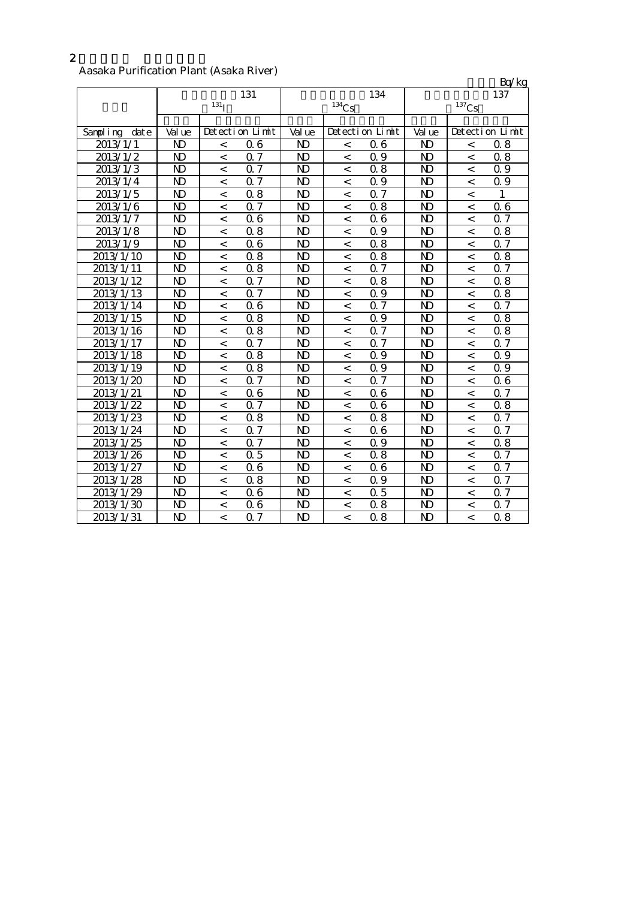# 2

#### Aasaka Purification Plant (Asaka River)

|                  |                         |                          |                  |                         |          |                  |                |                          | Bq/kg            |
|------------------|-------------------------|--------------------------|------------------|-------------------------|----------|------------------|----------------|--------------------------|------------------|
|                  |                         |                          | 131              |                         |          | 134              |                |                          | 137              |
|                  |                         | 131 <sub>I</sub>         |                  |                         | $134$ Cs |                  |                | $^{137}\mathrm{Cs}$      |                  |
|                  |                         |                          |                  |                         |          |                  |                |                          |                  |
| Sampling<br>date | Val ue                  |                          | Detection Limit  | Val ue                  |          | Detection Limit  | Val ue         |                          | Detection Limit  |
| 2013/1/1         | N)                      | $\,<$                    | 06               | N <sub>D</sub>          | $\,<$    | 06               | N)             | $\,<$                    | 0.8              |
| 2013/1/2         | $\mathbf{D}$            | $\,<\,$                  | 0.7              | $\mathbf{N}$            | $\,<\,$  | 0.9              | N <sub>D</sub> | $\,<$                    | 0.8              |
| 2013/1/3         | N)                      | $\,<\,$                  | 0.7              | N)                      | $\,<\,$  | 0.8              | N)             | $\,<\,$                  | 0.9              |
| 2013/1/4         | $\mathbf{D}$            | $\,<$                    | 0.7              | $\mathbf{D}$            | $\,<$    | 0.9              | N <sub>D</sub> | $\,<\,$                  | Q 9              |
| 2013/1/5         | $\mathbf{D}$            | $\lt$                    | 0.8              | $\mathbf{N}$            | $\,<$    | 0.7              | ND             | $\lt$                    | 1                |
| 2013/1/6         | N <sub>D</sub>          | $\,<\,$                  | 0.7              | $\mathbf{N}$            | $\,<$    | 0.8              | N)             | $\overline{\phantom{a}}$ | Q 6              |
| 2013/1/7         | N)                      | $\lt$                    | 0.6              | N <sub>D</sub>          | $\,<\,$  | 06               | ND             | $\overline{\phantom{a}}$ | 0.7              |
| 2013/1/8         | N <sub>D</sub>          | $\,<\,$                  | 0.8              | N <sub>D</sub>          | $\,<$    | 0.9              | N <sub>D</sub> | $\overline{\phantom{a}}$ | 0.8              |
| 2013/1/9         | N <sub>D</sub>          | $\,<\,$                  | 0.6              | N <sub>D</sub>          | $\,<$    | 0.8              | ND             | $\overline{\phantom{a}}$ | 0.7              |
| 2013/1/10        | N <sub>D</sub>          | $\,<\,$                  | 0.8              | N <sub>D</sub>          | $\,<\,$  | 0.8              | N <sub>D</sub> | $\overline{\phantom{a}}$ | 0.8              |
| 2013/1/11        | N <sub>D</sub>          | $\,<$                    | 0.8              | $\mathbf{N}$            | $\,<$    | Q 7              | N <sub>D</sub> | $\,<\,$                  | 0.7              |
| 2013/1/12        | N <sub>D</sub>          | $\,<\,$                  | 0.7              | N <sub>D</sub>          | $\,<$    | 0.8              | ND             | $\overline{\phantom{a}}$ | 0.8              |
| 2013/1/13        | N)                      | $\,<$                    | 0.7              | N)                      | $\,<$    | 0.9              | ND             | $\,<$                    | 0.8              |
| 2013/1/14        | $\mathbf{D}$            | $\,<\,$                  | 0.6              | $\mathbf{N}$            | $\,<\,$  | 0.7              | N <sub>D</sub> | $\,<$                    | 0.7              |
| 2013/1/15        | $\mathbf{D}$            | $\,<\,$                  | 0.8              | $\mathbf{D}$            | $\,<$    | 0.9              | N <sub>D</sub> | $\,<$                    | 0.8              |
| 2013/1/16        | $\mathbf{D}$            | $\,<\,$                  | $\overline{0.8}$ | $\mathbf{N}$            | $\,<$    | 0.7              | N <sub>D</sub> | $\,<$                    | 0.8              |
| 2013/1/17        | $\mathbf{D}$            | $\,<\,$                  | 0.7              | $\mathbf{N}$            | $\,<\,$  | 0.7              | N <sub>D</sub> | $\,<$                    | 0.7              |
| 2013/1/18        | $\mathbf{N}$            | $\lt$                    | 0.8              | $\mathbf{N}$            | $\lt$    | 0.9              | $\mathbf{N}$   | $\prec$                  | 0.9              |
| 2013/1/19        | $\mathbf{D}$            | $\,<\,$                  | 0.8              | N)                      | $\,<$    | 0.9              | ND             | $\,<$                    | 0.9              |
| 2013/1/20        | N)                      | $\lt$                    | $0.\overline{7}$ | N <sub>D</sub>          | $\,<\,$  | $0\bar{7}$       | ND             | $\,<$                    | 06               |
| 2013/1/21        | N <sub>D</sub>          | $\,<\,$                  | 0.6              | N <sub>D</sub>          | $\,<$    | 06               | N <sub>D</sub> | $\overline{\phantom{a}}$ | 0.7              |
| 2013/1/22        | $\overline{\mathbf{D}}$ | $\,<$                    | $\overline{0.7}$ | $\overline{\mathbf{D}}$ | $\,<$    | $\overline{0}$ 6 | N <sub>D</sub> | $\overline{a}$           | $\overline{0.8}$ |
| 2013/1/23        | N <sub>D</sub>          | $\,<\,$                  | 0.8              | N <sub>D</sub>          | $\,<\,$  | 0.8              | N <sub>D</sub> | $\overline{\phantom{a}}$ | 0.7              |
| 2013/1/24        | $\mathbf{N}$            | $\,<$                    | 0.7              | $\mathbf{N}$            | $\,<$    | 06               | $\mathbf{N}$   | $\prec$                  | Q 7              |
| 2013/1/25        | N <sub>D</sub>          | $\overline{\phantom{a}}$ | $0.\overline{7}$ | $\mathbf{N}$            | $\,<$    | 0.9              | ND             | $\overline{\phantom{a}}$ | 0.8              |
| 2013/1/26        | N)                      | $\,<$                    | 0.5              | N)                      | $\,<$    | 0.8              | ND             | $\,<$                    | 0.7              |
| 2013/1/27        | N <sub>D</sub>          | $\,<\,$                  | 0.6              | $\mathbf{N}$            | $\,<\,$  | 06               | N <sub>D</sub> | $\,<\,$                  | Q 7              |
| 2013/1/28        | N <sub>D</sub>          | $\,<\,$                  | 0.8              | $\mathbf{D}$            | $\,<\,$  | 0.9              | N <sub>D</sub> | $\,<\,$                  | 0.7              |
| 2013/1/29        | N <sub>D</sub>          | $\,<\,$                  | 0.6              | $\mathbf{D}$            | $\,<$    | 0.5              | N <sub>D</sub> | $\,<$                    | 0.7              |
| 2013/1/30        | <b>ND</b>               | $\,<\,$                  | 0.6              | <b>ND</b>               | $\,<\,$  | 0.8              | ND             | $\,<\,$                  | 0.7              |
| 2013/1/31        | $\mathbf{D}$            | $\,<\,$                  | 0.7              | $\mathbf{D}$            | $\,<$    | 0.8              | ND             | $\lt$                    | 0.8              |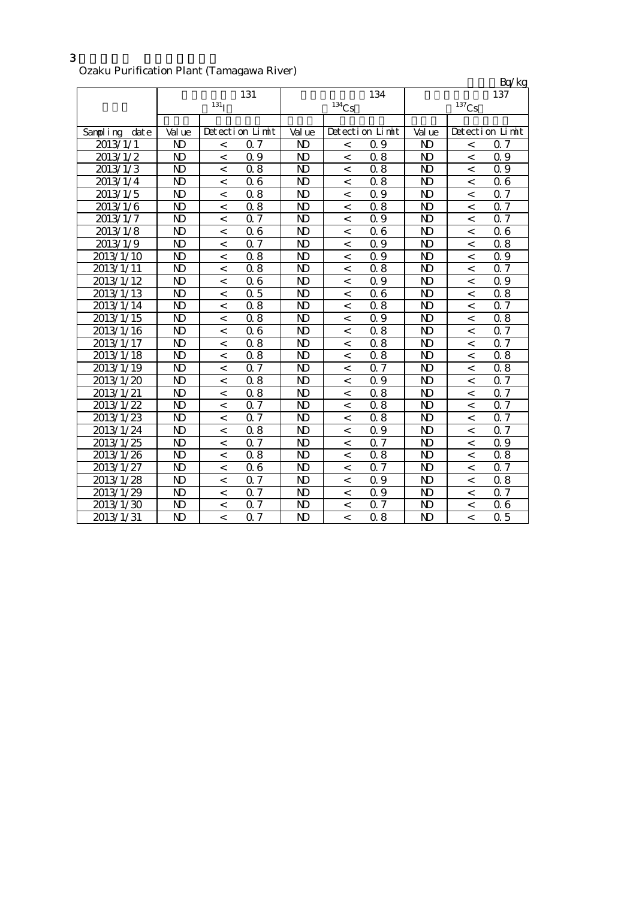## Ozaku Purification Plant (Tamagawa River)

|                  |                |                          |                  |                |          |                  |                |                          | Bq/kg           |
|------------------|----------------|--------------------------|------------------|----------------|----------|------------------|----------------|--------------------------|-----------------|
|                  |                |                          | 131              |                |          | 134              |                |                          | 137             |
|                  |                | $131$ <sup>T</sup>       |                  |                | $134$ Cs |                  |                | $^{137}\mathrm{Cs}$      |                 |
|                  |                |                          |                  |                |          |                  |                |                          |                 |
| Sampling<br>date | Val ue         |                          | Detection Limit  | Val ue         |          | Detection Limit  | Val ue         |                          | Detection Limit |
| 2013/1/1         | N <sub>D</sub> | $\,<\,$                  | 0.7              | N)             | $\,<$    | 0.9              | N)             | $\,<$                    | 0.7             |
| 2013/1/2         | N)             | $\,<\,$                  | 0.9              | $\mathbf{D}$   | $\,<$    | 0.8              | $\mathbf{D}$   | $\,<$                    | 0.9             |
| 2013/1/3         | N)             | $\,<\,$                  | 0.8              | N)             | $\,<\,$  | 0.8              | N)             | $\,<\,$                  | 0.9             |
| 2013/1/4         | N)             | $\,<$                    | 0.6              | $\mathbf{N}$   | $\,<\,$  | 0.8              | ND             | $\,<$                    | 06              |
| 2013/1/5         | N)             | $\lt$                    | 0.8              | $\mathbf{N}$   | $\,<$    | 0.9              | N)             | $\lt$                    | Q 7             |
| 2013/1/6         | N <sub>D</sub> | $\,<\,$                  | 0.8              | $\mathbf{N}$   | $\,<$    | 0.8              | N)             | $\,<$                    | Q 7             |
| 2013/1/7         | N)             | $\lt$                    | 0.7              | N)             | $\,<\,$  | 0.9              | N)             | $\overline{\phantom{a}}$ | Q 7             |
| 2013/1/8         | $\mathbf{D}$   | $\,<\,$                  | 0.6              | N <sub>D</sub> | $\,<$    | 06               | $\mathbf{D}$   | $\,<$                    | 06              |
| 2013/1/9         | N <sub>D</sub> | $\,<$                    | 0.7              | $\mathbf{D}$   | $\,<$    | 0.9              | ND             | $\,<$                    | 0.8             |
| 2013/1/10        | ND             | $\,<\,$                  | 0.8              | ND             | $\,<\,$  | 0.9              | ND             | $\,<$                    | 0.9             |
| 2013/1/11        | $\mathbf{D}$   | $\,<\,$                  | 0.8              | $\mathbf{D}$   | $\,<\,$  | 0.8              | ND             | $\,<\,$                  | 0.7             |
| 2013/1/12        | $\mathbf{D}$   | $\lt$                    | 0.6              | $\mathbf{N}$   | $\,<$    | 0.9              | N)             | $\overline{\phantom{a}}$ | 0.9             |
| 2013/1/13        | N)             | $\,<$                    | 0.5              | N)             | $\,<$    | 06               | N)             | $\,<$                    | 0.8             |
| 2013/1/14        | $\mathbf{D}$   | $\,<\,$                  | 0.8              | $\mathbf{N}$   | $\,<\,$  | 0.8              | $\mathbf{D}$   | $\,<\,$                  | Q 7             |
| 2013/1/15        | N <sub>D</sub> | $\,<\,$                  | 0.8              | N)             | $\,<\,$  | 0.9              | N)             | $\,<$                    | 0.8             |
| 2013/1/16        | $\mathbf{D}$   | $\,<\,$                  | 0.6              | $\mathbf{N}$   | $\,<\,$  | 0.8              | $\mathbf{D}$   | $\,<$                    | 0.7             |
| 2013/1/17        | $\mathbf{D}$   | $\,<\,$                  | 0.8              | $\mathbf{N}$   | $\,<\,$  | 0.8              | ND             | $\,<$                    | 0.7             |
| 2013/1/18        | $\mathbf{N}$   | $\lt$                    | 0.8              | $\mathbf{N}$   | $\,<$    | 0.8              | $\mathbf{D}$   | $\prec$                  | 0.8             |
| 2013/1/19        | N)             | $\,<$                    | 0.7              | N)             | $\,<$    | 0.7              | N)             | $\,<$                    | 0.8             |
| 2013/1/20        | N)             | $\lt$                    | 0.8              | N)             | $\,<\,$  | 0.9              | N)             | $\,<$                    | 0.7             |
| 2013/1/21        | $\mathbf{D}$   | $\,<\,$                  | 0.8              | $\mathbf{N}$   | $\,<$    | 0.8              | $\mathbf{D}$   | $\,<$                    | 0.7             |
| 2013/1/22        | $\mathbf{D}$   | $\overline{\phantom{a}}$ | $\overline{0.7}$ | $\mathbf{N}$   | $\,<$    | $\overline{0.8}$ | $\mathbf{D}$   | $\overline{a}$           | $\overline{07}$ |
| 2013/1/23        | ND             | $\,<\,$                  | $0.\overline{7}$ | $\mathbf{D}$   | $\,<\,$  | 0.8              | ND             | $\,<$                    | 0.7             |
| 2013/1/24        | <b>ND</b>      | $\,<$                    | 0.8              | $\mathbf{N}$   | $\,<$    | 0.9              | N <sub>D</sub> | $\overline{\phantom{a}}$ | 0.7             |
| 2013/1/25        | N)             | $\lt$                    | 0.7              | $\mathbf{N}$   | $\,<$    | 0.7              | N)             | $\overline{\phantom{a}}$ | 0.9             |
| 2013/1/26        | N)             | $\,<$                    | 0.8              | N)             | $\,<$    | 0.8              | N)             | $\,<$                    | 0.8             |
| 2013/1/27        | $\mathbf{D}$   | $\,<\,$                  | 0.6              | $\mathbf{N}$   | $\,<\,$  | 0.7              | $\mathbf{D}$   | $\,<\,$                  | 0.7             |
| 2013/1/28        | N <sub>D</sub> | $\,<\,$                  | 0.7              | $\mathbf{D}$   | $\,<\,$  | 0.9              | N <sub>D</sub> | $\,<\,$                  | 0.8             |
| 2013/1/29        | N <sub>D</sub> | $\,<\,$                  | 0.7              | $\mathbf{D}$   | $\,<$    | 0.9              | N <sub>D</sub> | $\,<\,$                  | 0.7             |
| 2013/1/30        | <b>ND</b>      | $\,<\,$                  | 0.7              | <b>ND</b>      | $\,<\,$  | 0.7              | N <sub>D</sub> | $\lt$                    | 06              |
| 2013/1/31        | ND             | $\,<$                    | 0.7              | $\mathbf{D}$   | $\,<$    | 0.8              | ND             | $\overline{\phantom{a}}$ | 0.5             |

3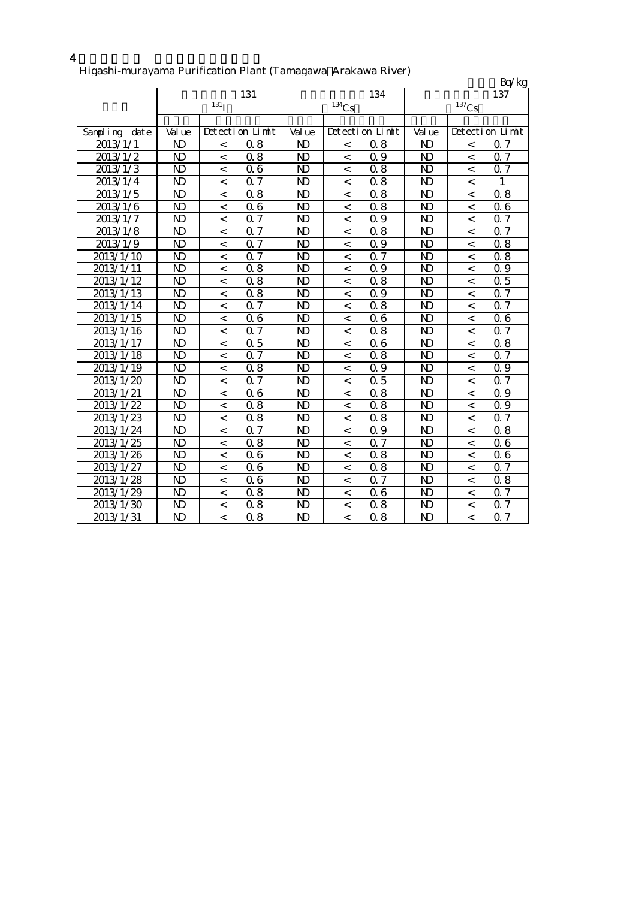## 4

#### Higashi-murayama Purification Plant (Tamagawa Arakawa River)

|                  |                         |                  |                  |                         |                |                  |                |                          | Bq/kg            |
|------------------|-------------------------|------------------|------------------|-------------------------|----------------|------------------|----------------|--------------------------|------------------|
|                  |                         |                  | 131              |                         |                | 134              |                |                          | 137              |
|                  |                         | 131 <sub>I</sub> |                  |                         | $134$ Cs       |                  |                | $^{137}\mathrm{Cs}$      |                  |
|                  |                         |                  |                  |                         |                |                  |                |                          |                  |
| Sampling<br>date | Val ue                  |                  | Detection Limit  | Val ue                  |                | Detection Limit  | Val ue         |                          | Detection Limit  |
| 2013/1/1         | N <sub>D</sub>          | $\,<\,$          | 0.8              | N <sub>D</sub>          | $\,<\,$        | 0.8              | N <sub>D</sub> | $\,<$                    | Q 7              |
| 2013/1/2         | N)                      | $\,<\,$          | 0.8              | $\mathbf{N}$            | $\,<$          | 0.9              | $\mathbf{D}$   | $\,<$                    | $0.\overline{7}$ |
| 2013/1/3         | N)                      | $\,<$            | 0.6              | N)                      | $\,<\,$        | 0.8              | N)             | $\lt$                    | Q 7              |
| 2013/1/4         | $\mathbf{D}$            | $\,<\,$          | 0.7              | $\mathbf{D}$            | $\,<\,$        | 0.8              | $\mathbf{D}$   | $\,<\,$                  | 1                |
| 2013/1/5         | N)                      | $\,<$            | 0.8              | $\mathbf{N}$            | $\,<$          | 0.8              | $\mathbf{D}$   | $\,<$                    | 0.8              |
| 2013/1/6         | N)                      | $\,<$            | 0.6              | $\mathbf{N}$            | $\,<$          | 0.8              | N)             | $\overline{\phantom{a}}$ | 06               |
| 2013/1/7         | N)                      | $\,<\,$          | 0.7              | N <sub>D</sub>          | $\,<$          | 0.9              | N <sub>D</sub> | $\,<$                    | 0.7              |
| 2013/1/8         | $\mathbf{D}$            | $\,<$            | $\overline{0.7}$ | $\mathbf{D}$            | $\,<\,$        | 0.8              | $\mathbf{D}$   | $\overline{a}$           | <b>Q7</b>        |
| 2013/1/9         | $\mathbf{D}$            | $\,<\,$          | 0.7              | $\mathbf{D}$            | $\,<\,$        | 0.9              | ND             | $\,<$                    | 0.8              |
| 2013/1/10        | $\mathbf{D}$            | $\,<$            | 0.7              | $\mathbf{D}$            | $\,<\,$        | 0.7              | ND             | $\lt$                    | 0.8              |
| 2013/1/11        | N)                      | $\,<$            | 0.8              | N)                      | $\overline{<}$ | 0.9              | ND             | $\overline{a}$           | 0.9              |
| 2013/1/12        | $\mathbf{D}$            | $\,<$            | 0.8              | $\mathbf{N}$            | $\,<$          | 0.8              | $\mathbf{D}$   | $\,<$                    | 0.5              |
| 2013/1/13        | $\mathbf{D}$            | $\,<\,$          | 0.8              | $\mathbf{D}$            | $\,<$          | 0.9              | $\mathbf{D}$   | $\,<$                    | Q 7              |
| 2013/1/14        | $\mathbf{D}$            | $\,<$            | 0.7              | $\mathbf{N}$            | $\,<$          | 0.8              | $\mathbf{D}$   | $\,<$                    | <b>Q7</b>        |
| 2013/1/15        | N)                      | $\,<$            | 0.6              | N)                      | $\,<$          | Q 6              | ND             | $\,<$                    | 06               |
| 2013/1/16        | $\mathbf{D}$            | $\,<$            | 0.7              | $\mathbf{N}$            | $\,<\,$        | 0.8              | $\mathbf{D}$   | $\,<$                    | 0.7              |
| 2013/1/17        | $\mathbf{D}$            | $\,<\,$          | 0.5              | $\mathbf{D}$            | $\,<$          | 06               | $\mathbf{D}$   | $\,<$                    | 0.8              |
| 2013/1/18        | $\mathbf{D}$            | $\,<$            | $\overline{0.7}$ | $\mathbf{N}$            | $\,<$          | 0.8              | N)             | $\,<$                    | $0\bar{7}$       |
| 2013/1/19        | $\mathbf{D}$            | $\,<\,$          | 0.8              | N)                      | $\,<$          | 0.9              | N)             | $\,<$                    | 0.9              |
| 2013/1/20        | $\overline{\mathbf{D}}$ | $\,<$            | $0.\overline{7}$ | $\overline{\mathbf{D}}$ | $\,<$          | $\overline{0.5}$ | $\mathbf{D}$   | $\overline{a}$           | $0.\overline{7}$ |
| 2013/1/21        | $\overline{\mathbf{D}}$ | $\,<\,$          | $\overline{0.6}$ | $\mathbf{D}$            | $\,<\,$        | $\overline{0.8}$ | $\mathbf{D}$   | $\overline{\phantom{a}}$ | $\overline{0.9}$ |
| 2013/1/22        | $\mathbf{D}$            | $\lt$            | 0.8              | $\mathbf{N}$            | $\lt$          | 0.8              | N <sub>D</sub> | $\prec$                  | 0.9              |
| 2013/1/23        | $\mathbf{D}$            | $\,<$            | 0.8              | N <sub>D</sub>          | $\overline{a}$ | 0.8              | N)             | $\overline{a}$           | <b>Q7</b>        |
| 2013/1/24        | $\mathbf{D}$            | $\,<$            | 0.7              | $\mathbf{N}$            | $\,<$          | 0.9              | $\mathbf{D}$   | $\,<\,$                  | 0.8              |
| 2013/1/25        | $\mathbf{D}$            | $\,<\,$          | 0.8              | $\mathbf{D}$            | $\,<$          | 0.7              | $\mathbf{D}$   | $\,<$                    | 06               |
| 2013/1/26        | N)                      | $\,<$            | 0.6              | $\mathbf{N}$            | $\,<$          | 0.8              | $\mathbf{D}$   | $\,<$                    | 06               |
| 2013/1/27        | N)                      | $\,<$            | 0.6              | N)                      | $\,<$          | 0.8              | N)             | $\,<$                    | 0.7              |
| 2013/1/28        | N)                      | $\,<\,$          | 06               | $\mathbf{D}$            | $\,<\,$        | 0.7              | ND             | $\lt$                    | 0.8              |
| 2013/1/29        | $\mathbf{D}$            | $\,<\,$          | 0.8              | $\mathbf{D}$            | $\,<\,$        | 06               | $\mathbf{D}$   | $\,<\,$                  | Q 7              |
| 2013/1/30        | N)                      | $\,<\,$          | 0.8              | N)                      | $\,<$          | 0.8              | N)             | $\,<$                    | 0.7              |
| 2013/1/31        | $\mathbf{D}$            | $\,<\,$          | 0.8              | $\mathbf{D}$            | $\,<$          | 0.8              | ND             | $\lt$                    | 0.7              |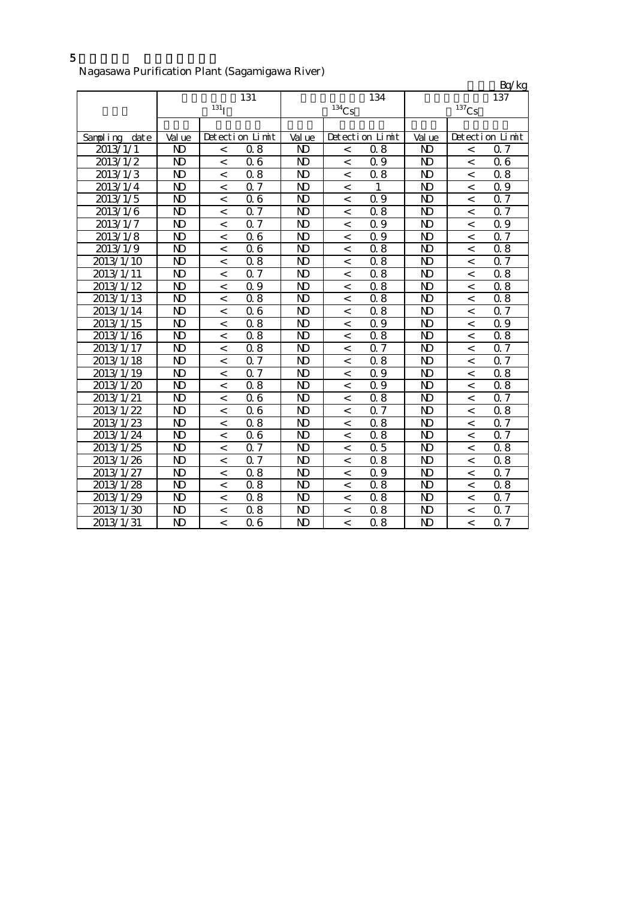#### Nagasawa Purification Plant (Sagamigawa River)

| o                |                |                    |                  |                |          |                 |                |                          | $\frac{\text{Bq/kg}}{137}$ |
|------------------|----------------|--------------------|------------------|----------------|----------|-----------------|----------------|--------------------------|----------------------------|
|                  |                |                    | 131              |                |          | 134             |                |                          |                            |
|                  |                | $131$ <sub>I</sub> |                  |                | $134$ Cs |                 |                | $137$ Cs                 |                            |
|                  |                |                    |                  |                |          |                 |                |                          |                            |
| Sampling<br>date | Val ue         |                    | Detection Limit  | Val ue         |          | Detection Limit | Val ue         |                          | Detection Limit            |
| 2013/1/1         | ND             | $\,<\,$            | 0.8              | N <sub>D</sub> | $\,<\,$  | 0.8             | N)             | $\,<\,$                  | Q 7                        |
| 2013/1/2         | N)             | $\,<$              | 0.6              | $\mathbf{N}$   | $\,<$    | Q 9             | $\mathbf{D}$   | $\,<$                    | 06                         |
| 2013/1/3         | $\mathbf{D}$   | $\,<$              | 0.8              | $\mathbf{N}$   | $\,<$    | 0.8             | $\mathbf{D}$   | $\,<$                    | 0.8                        |
| 2013/1/4         | N)             | $\,<$              | 0.7              | N)             | $\,<$    | 1               | N)             | $\,<$                    | Q 9                        |
| 2013/1/5         | N)             | $\,<$              | 0.6              | $\mathbf{D}$   | $\,<$    | 0.9             | $\mathbf{D}$   | $\,<$                    | $0.\overline{7}$           |
| 2013/1/6         | $\mathbf{D}$   | $\,<$              | 0.7              | $\mathbf{N}$   | $\,<\,$  | 0.8             | $\mathbf{D}$   | $\,<\,$                  | 0.7                        |
| 2013/1/7         | $\mathbf{D}$   | $\,<$              | 0.7              | $\mathbf{N}$   | $\,<$    | 0.9             | $\mathbf{D}$   | $\,<\,$                  | 0.9                        |
| 2013/1/8         | N)             | $\,<\,$            | 06               | $\mathbf{D}$   | $\,<$    | 0.9             | $\mathbf{D}$   | $\,<\,$                  | 0.7                        |
| 2013/1/9         | N <sub>D</sub> | $\,<$              | 0.6              | $\mathbf{D}$   | $\,<$    | 0.8             | N <sub>D</sub> | $\,<$                    | 0.8                        |
| 2013/1/10        | $\mathbf{D}$   | $\,<$              | 0.8              | $\mathbf{N}$   | $\,<$    | 0.8             | $\mathbf{D}$   | $\,<$                    | 0.7                        |
| 2013/1/11        | <b>ND</b>      | $\lt$              | 0.7              | $\mathbf{N}$   | $\,<$    | 0.8             | N)             | $\,<$                    | 0.8                        |
| 2013/1/12        | $\mathbf{D}$   | $\,<\,$            | Q 9              | $\mathbf{N}$   | $\,<$    | 0.8             | $\mathbf{D}$   | $\,<$                    | 0.8                        |
| 2013/1/13        | $\mathbf{D}$   | $\,<$              | 0.8              | $\mathbf{D}$   | $\,<$    | 0.8             | $\mathbf{D}$   | $\,<$                    | 0.8                        |
| 2013/1/14        | $\mathbf{N}$   | $\,<$              | 0.6              | $\mathbf{N}$   | $\,<$    | 0.8             | $\mathbf{D}$   | $\overline{a}$           | 0.7                        |
| 2013/1/15        | N)             | $\,<$              | 0.8              | $\mathbf{D}$   | $\,<$    | 0.9             | ND             | $\overline{a}$           | Q 9                        |
| 2013/1/16        | $\mathbf{D}$   | $\,<$              | 0.8              | $\mathbf{N}$   | $\,<\,$  | 0.8             | $\mathbf{D}$   | $\overline{\phantom{a}}$ | 0.8                        |
| 2013/1/17        | $\mathbf{D}$   | $\,<\,$            | 0.8              | $\mathbf{N}$   | $\,<\,$  | 0.7             | $\mathbf{D}$   | $\overline{\phantom{a}}$ | 0.7                        |
| 2013/1/18        | <b>ND</b>      | $\,<$              | 0.7              | ND             | $\,<\,$  | 0.8             | ND             | $\lt$                    | Q 7                        |
| 2013/1/19        | $\mathbf{D}$   | $\,<\,$            | 0.7              | $\mathbf{N}$   | $\,<\,$  | 09              | $\mathbf{D}$   | $\lt$                    | 0.8                        |
| 2013/1/20        | $\mathbf{D}$   | $\,<\,$            | $\overline{0.8}$ | $\mathbf{D}$   | $\,<$    | 0.9             | $\mathbf{D}$   | $\,<\,$                  | 0.8                        |
| 2013/1/21        | $\mathbf{D}$   | $\,<\,$            | 0.6              | $\mathbf{D}$   | $\,<$    | 0.8             | $\mathbf{D}$   | $\,<\,$                  | 0.7                        |
| 2013/1/22        | $\mathbf{D}$   | $\,<$              | 0.6              | $\mathbf{D}$   | $\,<$    | 0.7             | N <sub>D</sub> | $\,<\,$                  | 0.8                        |
| 2013/1/23        | $\mathbf{D}$   | $\,<$              | $\overline{0.8}$ | $\mathbf{D}$   | $\,<$    | 0.8             | $\mathbf{D}$   | $\,<$                    | 0.7                        |
| 2013/1/24        | N)             | $\,<$              | 0.6              | $\mathbf{N}$   | $\,<$    | 0.8             | $\mathbf{D}$   | $\,<\,$                  | Q 7                        |
| 2013/1/25        | N)             | $\,<$              | 0.7              | N)             | $\,<$    | 0.5             | N)             | $\,<$                    | 0.8                        |
| 2013/1/26        | N)             | $\,<\,$            | 0.7              | $\mathbf{D}$   | $\,<\,$  | 0.8             | N <sub>D</sub> | $\,<$                    | 0.8                        |
| 2013/1/27        | N)             | $\,<\,$            | 0.8              | $\mathbf{N}$   | $\,<\,$  | 0.9             | N)             | $\,<\,$                  | 0.7                        |
| 2013/1/28        | $\mathbf{D}$   | $\,<\,$            | 0.8              | $\mathbf{N}$   | $\,<$    | 0.8             | N)             | $\,<\,$                  | 0.8                        |
| 2013/1/29        | N)             | $\,<\,$            | 0.8              | $\mathbf{N}$   | $\,<$    | 0.8             | N)             | $\lt$                    | Q 7                        |
| 2013/1/30        | ND             | $\,<$              | 0.8              | $\mathbf{D}$   | $\,<$    | 0.8             | ND             | $\,<\,$                  | 0.7                        |
| 2013/1/31        | $\mathbf{D}$   | $\,<$              | 0.6              | $\mathbf{D}$   | $\,<$    | 0.8             | $\mathbf{D}$   | $\,<$                    | 0.7                        |

5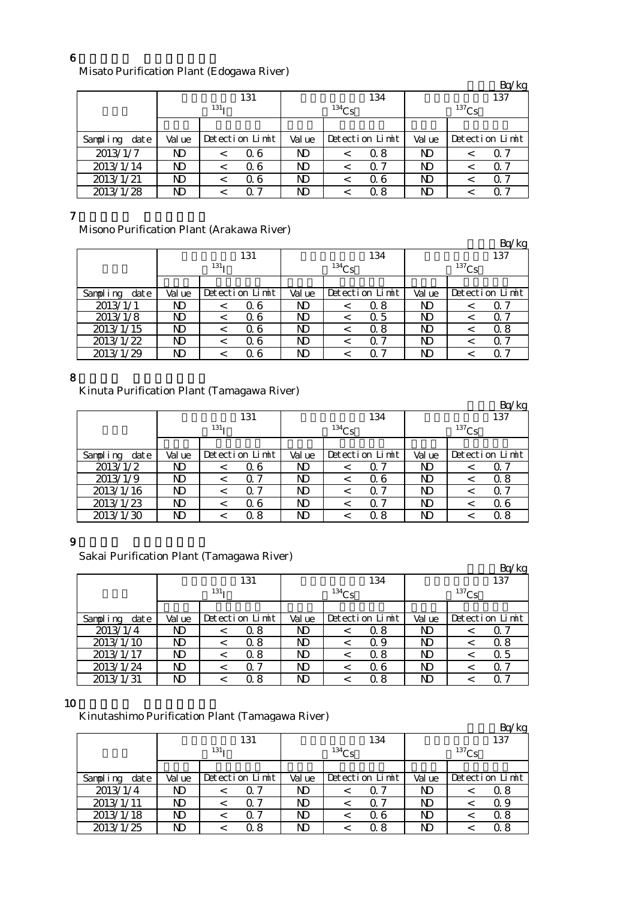#### 6

# Misato Purification Plant (Edogawa River)

|                  |                  |  |                 |          |         |                 |            |     | Bq/kg           |
|------------------|------------------|--|-----------------|----------|---------|-----------------|------------|-----|-----------------|
|                  |                  |  | 131             |          |         | 134             |            | 137 |                 |
|                  | 131 <sub>T</sub> |  |                 | $134$ Cs |         |                 | $^{137}Cs$ |     |                 |
|                  |                  |  |                 |          |         |                 |            |     |                 |
| Sampling<br>date | Val ue           |  | Detection Limit | Val ue   |         | Detection Limit | Val ue     |     | Detection Limit |
| 2013/1/7         | ND               |  | 0.6             | ND       | $\,<\,$ | Q 8             | N)         |     | Q 7             |
| 2013/1/14        | ND               |  | 0.6             | ND       | $\,<\,$ | 0. 7            | N)         |     | $\Omega$ 7      |
| 2013/1/21        | ND               |  | 0.6             | ND       | <       | 06              | N)         |     | Q 7             |
| 2013/1/28        | ND               |  | Q 7             | ND       |         | 0.8             | N)         |     | Q 7             |

#### 7

Misono Purification Plant (Arakawa River)

|                  |        |                  |                 |        |            |                 |        |            | Bq/kg           |
|------------------|--------|------------------|-----------------|--------|------------|-----------------|--------|------------|-----------------|
|                  |        |                  | 131             |        |            | 134             |        |            | 137             |
|                  |        | 131 <sub>T</sub> |                 |        | $^{134}Cs$ |                 |        | $^{137}Cs$ |                 |
|                  |        |                  |                 |        |            |                 |        |            |                 |
| Sampling<br>date | Val ue |                  | Detection Limit | Val ue |            | Detection Limit | Val ue |            | Detection Limit |
| 2013/1/1         | ND     |                  | Q 6             | ND     |            | 0. 8            | ND     |            | O               |
| 2013/1/8         | ND     |                  | Q 6             | ND     | <          | 0.5             | ND     |            | Q 7             |
| 2013/1/15        | ND     |                  | Q 6             | ND     |            | 0.8             | ND     |            | 0.8             |
| 2013/1/22        | ND     | $\,<\,$          | 0.6             | ND     | <          | $\Omega$ 7      | ND     |            | Q 7             |
| 2013/1/29        | ND     |                  | Q 6             | ND     |            | ი 7             | ND     |            | ი 7             |

#### 8

Kinuta Purification Plant (Tamagawa River)

|                  |                  |         |                 |          |   |                 |                |  | Bq/kg           |
|------------------|------------------|---------|-----------------|----------|---|-----------------|----------------|--|-----------------|
|                  |                  |         | 131             |          |   | 134             | 137            |  |                 |
|                  | 131 <sub>T</sub> |         |                 | $134$ Cs |   |                 | $137$ Cs       |  |                 |
|                  |                  |         |                 |          |   |                 |                |  |                 |
| Sampling<br>date | Val ue           |         | Detection Limit | Val ue   |   | Detection Limit | Val ue         |  | Detection Limit |
| 2013/1/2         | ND               | <       | Q 6             | ND       |   | $\Omega$ 7      | ND             |  | Q 7             |
| 2013/1/9         | ND               | $\,<\,$ | $\Omega$ 7      | ND       |   | Q 6             | ND             |  | 0.8             |
| 2013/1/16        | N)               | $\,<\,$ | $\Omega$ 7      | ND       | < | Q 7             | ND             |  | Q 7             |
| 2013/1/23        | ND               | $\,<\,$ | 06              | ND       | < | $\Omega$ 7      | N <sub>D</sub> |  | 06              |
| 2013/1/30        | ND               |         | 0.8             | ND       |   | 0. 8            | ND             |  | Q 8             |

### 9

Sakai Purification Plant (Tamagawa River)

|                  |                  |  |                 |          |   |                 |          |  | Bq/kg           |
|------------------|------------------|--|-----------------|----------|---|-----------------|----------|--|-----------------|
|                  |                  |  | 131             |          |   |                 | 137      |  |                 |
|                  | 131 <sub>T</sub> |  |                 | $134$ Cs |   |                 | $137$ Cs |  |                 |
|                  |                  |  |                 |          |   |                 |          |  |                 |
| Sampling<br>date | Val ue           |  | Detection Limit | Val ue   |   | Detection Limit | Val ue   |  | Detection Limit |
| 2013/1/4         | ND               |  | 0.8             | ND       |   | Q 8             | ND       |  |                 |
| 2013/1/10        | ND               |  | 0. 8            | ND       |   | Q 9             | ND       |  | 0.8             |
| 2013/1/17        | ND               |  | 0.8             | ND       | < | Q 8             | ND       |  | Q 5             |
| 2013/1/24        | ND               |  | Q 7             | ND       |   | Q 6             | ND       |  | Q 7             |
| 2013/1/31        | ND               |  | 8<br>Ω          | ND       |   | 0.8             | ND       |  | O.              |

### 10

Kinutashimo Purification Plant (Tamagawa River)

|                  |                  |  |                 |            |         |                 |          |  | Bq/kg           |
|------------------|------------------|--|-----------------|------------|---------|-----------------|----------|--|-----------------|
|                  |                  |  | 131             |            |         | 134             | 137      |  |                 |
|                  | 131 <sub>T</sub> |  |                 | $^{134}Cs$ |         |                 | $137$ Cs |  |                 |
|                  |                  |  |                 |            |         |                 |          |  |                 |
| Sampling<br>date | Val ue           |  | Detection Limit | Val ue     |         | Detection Limit | Val ue   |  | Detection Limit |
| 2013/1/4         | ND               |  | Q 7             | ND         | <       | Q 7             | ND       |  | 0.8             |
| 2013/1/11        | ND               |  | 0.7             | ND         | $\,<\,$ | 0 7             | ND       |  | Q 9             |
| 2013/1/18        | ND               |  | 0.7             | ND         |         | Q 6             | ND       |  | 0.8             |
| 2013/1/25        | ND               |  | 0.8             | ND         |         | 0. 8            | ND       |  | Q 8             |